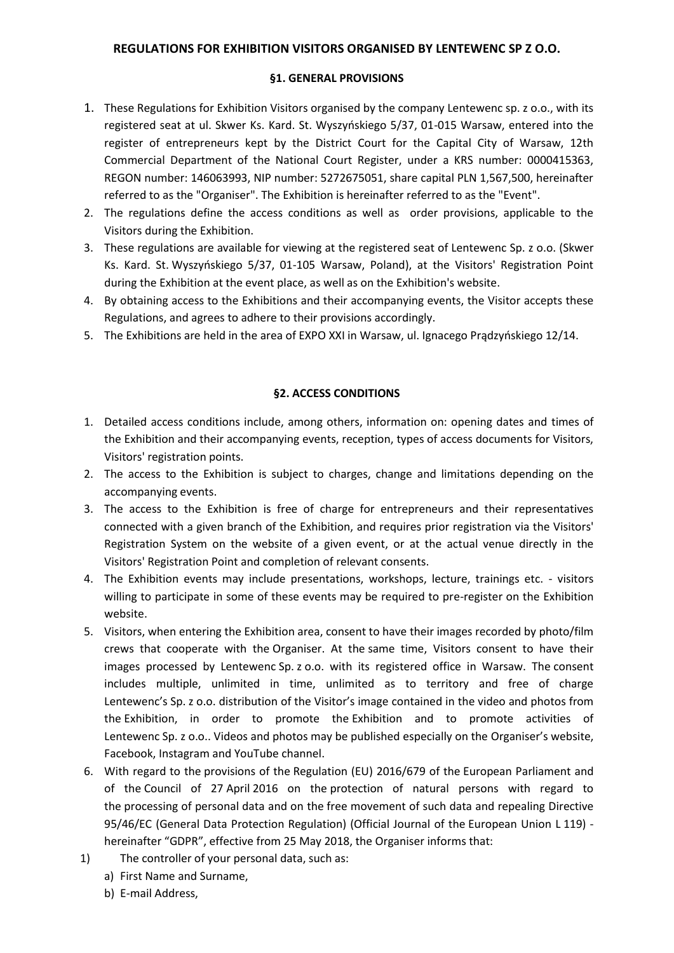### **REGULATIONS FOR EXHIBITION VISITORS ORGANISED BY LENTEWENC SP Z O.O.**

#### **§1. GENERAL PROVISIONS**

- 1. These Regulations for Exhibition Visitors organised by the company Lentewenc sp. z o.o., with its registered seat at ul. Skwer Ks. Kard. St. Wyszyńskiego 5/37, 01-015 Warsaw, entered into the register of entrepreneurs kept by the District Court for the Capital City of Warsaw, 12th Commercial Department of the National Court Register, under a KRS number: 0000415363, REGON number: 146063993, NIP number: 5272675051, share capital PLN 1,567,500, hereinafter referred to as the "Organiser". The Exhibition is hereinafter referred to as the "Event".
- 2. The regulations define the access conditions as well as order provisions, applicable to the Visitors during the Exhibition.
- 3. These regulations are available for viewing at the registered seat of Lentewenc Sp. z o.o. (Skwer Ks. Kard. St. Wyszyńskiego 5/37, 01-105 Warsaw, Poland), at the Visitors' Registration Point during the Exhibition at the event place, as well as on the Exhibition's website.
- 4. By obtaining access to the Exhibitions and their accompanying events, the Visitor accepts these Regulations, and agrees to adhere to their provisions accordingly.
- 5. The Exhibitions are held in the area of EXPO XXI in Warsaw, ul. Ignacego Prądzyńskiego 12/14.

## **§2. ACCESS CONDITIONS**

- 1. Detailed access conditions include, among others, information on: opening dates and times of the Exhibition and their accompanying events, reception, types of access documents for Visitors, Visitors' registration points.
- 2. The access to the Exhibition is subject to charges, change and limitations depending on the accompanying events.
- 3. The access to the Exhibition is free of charge for entrepreneurs and their representatives connected with a given branch of the Exhibition, and requires prior registration via the Visitors' Registration System on the website of a given event, or at the actual venue directly in the Visitors' Registration Point and completion of relevant consents.
- 4. The Exhibition events may include presentations, workshops, lecture, trainings etc. visitors willing to participate in some of these events may be required to pre-register on the Exhibition website.
- 5. Visitors, when entering the Exhibition area, consent to have their images recorded by photo/film crews that cooperate with the Organiser. At the same time, Visitors consent to have their images processed by Lentewenc Sp. z o.o. with its registered office in Warsaw. The consent includes multiple, unlimited in time, unlimited as to territory and free of charge Lentewenc's Sp. z o.o. distribution of the Visitor's image contained in the video and photos from the Exhibition, in order to promote the Exhibition and to promote activities of Lentewenc Sp. z o.o.. Videos and photos may be published especially on the Organiser's website, Facebook, Instagram and YouTube channel.
- 6. With regard to the provisions of the Regulation (EU) 2016/679 of the European Parliament and of the Council of 27 April 2016 on the protection of natural persons with regard to the processing of personal data and on the free movement of such data and repealing Directive 95/46/EC (General Data Protection Regulation) (Official Journal of the European Union L 119) hereinafter "GDPR", effective from 25 May 2018, the Organiser informs that:
- 1) The controller of your personal data, such as:
	- a) First Name and Surname,
	- b) E-mail Address,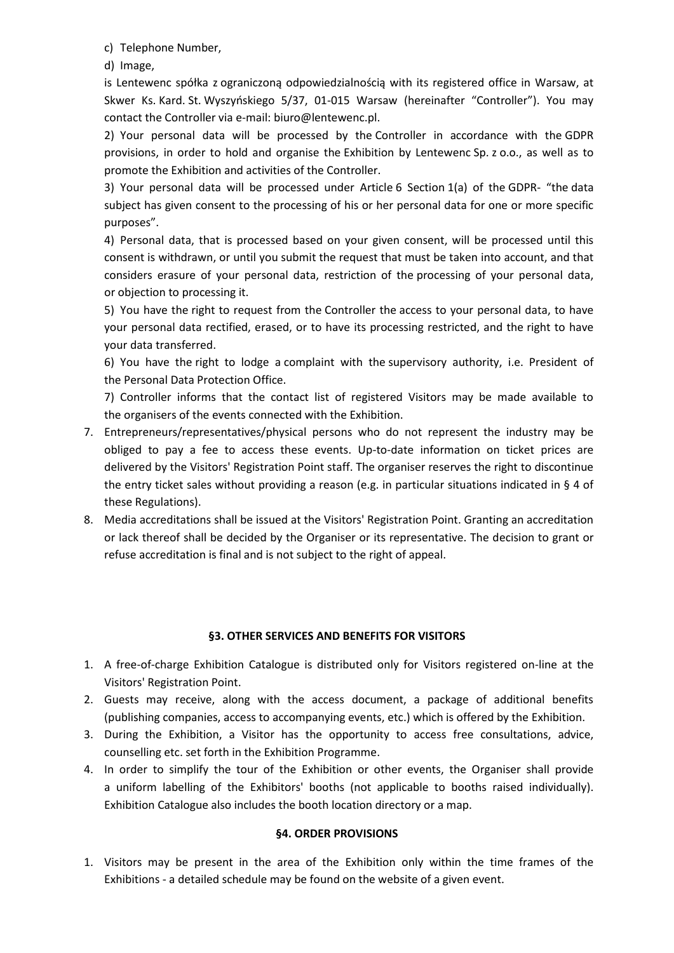c) Telephone Number,

d) Image,

is Lentewenc spółka z ograniczoną odpowiedzialnością with its registered office in Warsaw, at Skwer Ks. Kard. St. Wyszyńskiego 5/37, 01-015 Warsaw (hereinafter "Controller"). You may contact the Controller via e-mail: biuro@lentewenc.pl.

2) Your personal data will be processed by the Controller in accordance with the GDPR provisions, in order to hold and organise the Exhibition by Lentewenc Sp. z o.o., as well as to promote the Exhibition and activities of the Controller.

3) Your personal data will be processed under Article 6 Section 1(a) of the GDPR- "the data subject has given consent to the processing of his or her personal data for one or more specific purposes".

4) Personal data, that is processed based on your given consent, will be processed until this consent is withdrawn, or until you submit the request that must be taken into account, and that considers erasure of your personal data, restriction of the processing of your personal data, or objection to processing it.

5) You have the right to request from the Controller the access to your personal data, to have your personal data rectified, erased, or to have its processing restricted, and the right to have your data transferred.

6) You have the right to lodge a complaint with the supervisory authority, i.e. President of the Personal Data Protection Office.

7) Controller informs that the contact list of registered Visitors may be made available to the organisers of the events connected with the Exhibition.

- 7. Entrepreneurs/representatives/physical persons who do not represent the industry may be obliged to pay a fee to access these events. Up-to-date information on ticket prices are delivered by the Visitors' Registration Point staff. The organiser reserves the right to discontinue the entry ticket sales without providing a reason (e.g. in particular situations indicated in § 4 of these Regulations).
- 8. Media accreditations shall be issued at the Visitors' Registration Point. Granting an accreditation or lack thereof shall be decided by the Organiser or its representative. The decision to grant or refuse accreditation is final and is not subject to the right of appeal.

# **§3. OTHER SERVICES AND BENEFITS FOR VISITORS**

- 1. A free-of-charge Exhibition Catalogue is distributed only for Visitors registered on-line at the Visitors' Registration Point.
- 2. Guests may receive, along with the access document, a package of additional benefits (publishing companies, access to accompanying events, etc.) which is offered by the Exhibition.
- 3. During the Exhibition, a Visitor has the opportunity to access free consultations, advice, counselling etc. set forth in the Exhibition Programme.
- 4. In order to simplify the tour of the Exhibition or other events, the Organiser shall provide a uniform labelling of the Exhibitors' booths (not applicable to booths raised individually). Exhibition Catalogue also includes the booth location directory or a map.

## **§4. ORDER PROVISIONS**

1. Visitors may be present in the area of the Exhibition only within the time frames of the Exhibitions - a detailed schedule may be found on the website of a given event.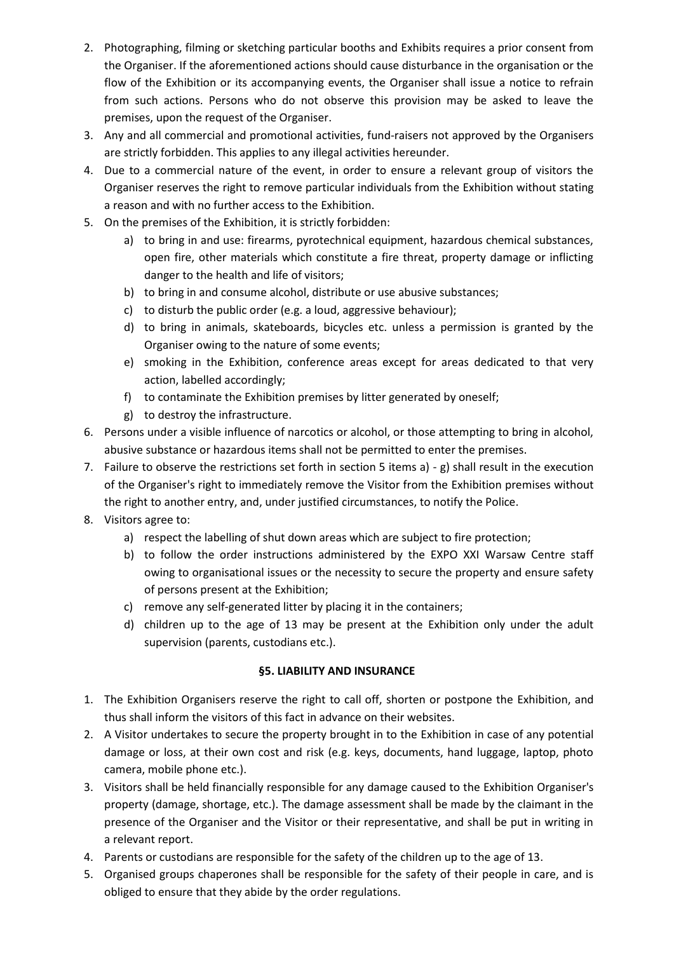- 2. Photographing, filming or sketching particular booths and Exhibits requires a prior consent from the Organiser. If the aforementioned actions should cause disturbance in the organisation or the flow of the Exhibition or its accompanying events, the Organiser shall issue a notice to refrain from such actions. Persons who do not observe this provision may be asked to leave the premises, upon the request of the Organiser.
- 3. Any and all commercial and promotional activities, fund-raisers not approved by the Organisers are strictly forbidden. This applies to any illegal activities hereunder.
- 4. Due to a commercial nature of the event, in order to ensure a relevant group of visitors the Organiser reserves the right to remove particular individuals from the Exhibition without stating a reason and with no further access to the Exhibition.
- 5. On the premises of the Exhibition, it is strictly forbidden:
	- a) to bring in and use: firearms, pyrotechnical equipment, hazardous chemical substances, open fire, other materials which constitute a fire threat, property damage or inflicting danger to the health and life of visitors;
	- b) to bring in and consume alcohol, distribute or use abusive substances;
	- c) to disturb the public order (e.g. a loud, aggressive behaviour);
	- d) to bring in animals, skateboards, bicycles etc. unless a permission is granted by the Organiser owing to the nature of some events;
	- e) smoking in the Exhibition, conference areas except for areas dedicated to that very action, labelled accordingly;
	- f) to contaminate the Exhibition premises by litter generated by oneself;
	- g) to destroy the infrastructure.
- 6. Persons under a visible influence of narcotics or alcohol, or those attempting to bring in alcohol, abusive substance or hazardous items shall not be permitted to enter the premises.
- 7. Failure to observe the restrictions set forth in section 5 items  $a$ ) g) shall result in the execution of the Organiser's right to immediately remove the Visitor from the Exhibition premises without the right to another entry, and, under justified circumstances, to notify the Police.
- 8. Visitors agree to:
	- a) respect the labelling of shut down areas which are subject to fire protection;
	- b) to follow the order instructions administered by the EXPO XXI Warsaw Centre staff owing to organisational issues or the necessity to secure the property and ensure safety of persons present at the Exhibition;
	- c) remove any self-generated litter by placing it in the containers;
	- d) children up to the age of 13 may be present at the Exhibition only under the adult supervision (parents, custodians etc.).

# **§5. LIABILITY AND INSURANCE**

- 1. The Exhibition Organisers reserve the right to call off, shorten or postpone the Exhibition, and thus shall inform the visitors of this fact in advance on their websites.
- 2. A Visitor undertakes to secure the property brought in to the Exhibition in case of any potential damage or loss, at their own cost and risk (e.g. keys, documents, hand luggage, laptop, photo camera, mobile phone etc.).
- 3. Visitors shall be held financially responsible for any damage caused to the Exhibition Organiser's property (damage, shortage, etc.). The damage assessment shall be made by the claimant in the presence of the Organiser and the Visitor or their representative, and shall be put in writing in a relevant report.
- 4. Parents or custodians are responsible for the safety of the children up to the age of 13.
- 5. Organised groups chaperones shall be responsible for the safety of their people in care, and is obliged to ensure that they abide by the order regulations.